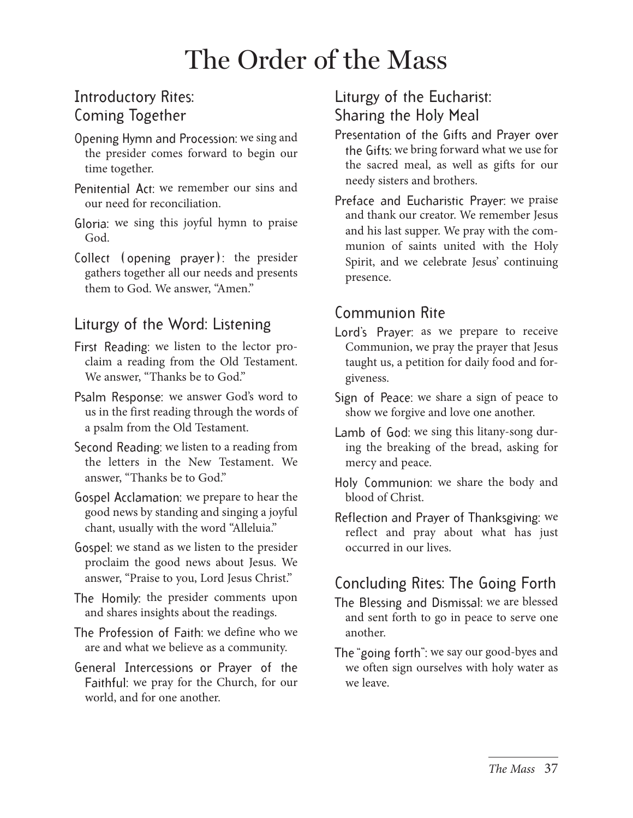## The Order of the Mass

## Introductory Rites: Coming Together

- Opening Hymn and Procession: we sing and the presider comes forward to begin our time together.
- Penitential Act: we remember our sins and our need for reconciliation.
- Gloria: we sing this joyful hymn to praise God.
- Collect (opening prayer): the presider gathers together all our needs and presents them to God. We answer, "Amen."

## Liturgy of the Word: Listening

- First Reading: we listen to the lector proclaim a reading from the Old Testament. We answer, "Thanks be to God."
- Psalm Response: we answer God's word to us in the first reading through the words of a psalm from the Old Testament.
- Second Reading: we listen to a reading from the letters in the New Testament. We answer, "Thanks be to God."
- Gospel Acclamation: we prepare to hear the good news by standing and singing a joyful chant, usually with the word "Alleluia."
- Gospel: we stand as we listen to the presider proclaim the good news about Jesus. We answer, "Praise to you, Lord Jesus Christ."
- The Homily: the presider comments upon and shares insights about the readings.
- The Profession of Faith: we define who we are and what we believe as a community.
- General Intercessions or Prayer of the Faithful: we pray for the Church, for our world, and for one another.

## Liturgy of the Eucharist: Sharing the Holy Meal

- Presentation of the Gifts and Prayer over the Gifts: we bring forward what we use for the sacred meal, as well as gifts for our needy sisters and brothers.
- Preface and Eucharistic Prayer: we praise and thank our creator. We remember Jesus and his last supper. We pray with the communion of saints united with the Holy Spirit, and we celebrate Jesus' continuing presence.

#### Communion Rite

- Lord's Prayer: as we prepare to receive Communion, we pray the prayer that Jesus taught us, a petition for daily food and forgiveness.
- Sign of Peace: we share a sign of peace to show we forgive and love one another.
- Lamb of God: we sing this litany-song during the breaking of the bread, asking for mercy and peace.
- Holy Communion: we share the body and blood of Christ.
- Reflection and Prayer of Thanksgiving: we reflect and pray about what has just occurred in our lives.

## Concluding Rites: The Going Forth

- The Blessing and Dismissal: we are blessed and sent forth to go in peace to serve one another.
- The "going forth": we say our good-byes and we often sign ourselves with holy water as we leave.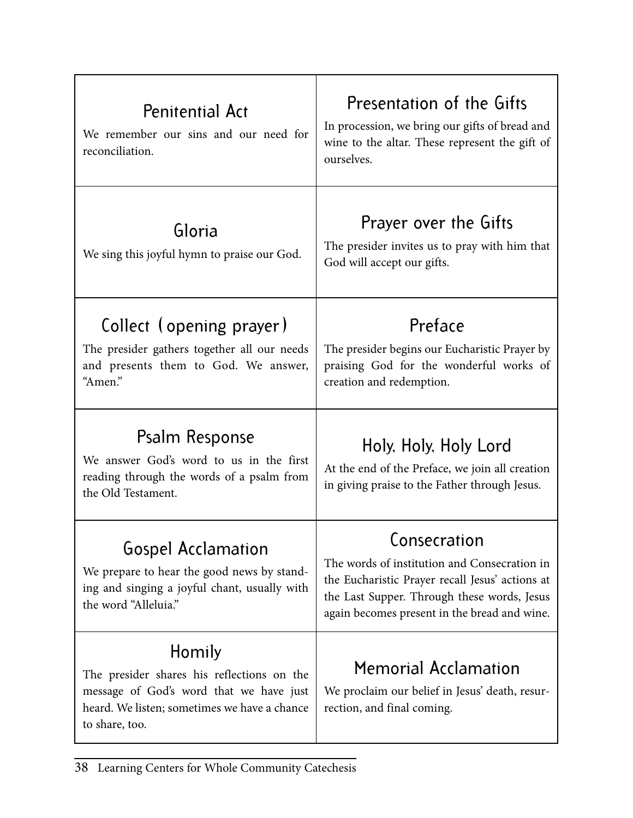| <b>Penitential Act</b><br>We remember our sins and our need for<br>reconciliation.                                                                                | Presentation of the Gifts<br>In procession, we bring our gifts of bread and<br>wine to the altar. These represent the gift of<br>ourselves.                                                                    |
|-------------------------------------------------------------------------------------------------------------------------------------------------------------------|----------------------------------------------------------------------------------------------------------------------------------------------------------------------------------------------------------------|
| Gloria<br>We sing this joyful hymn to praise our God.                                                                                                             | Prayer over the Gifts<br>The presider invites us to pray with him that<br>God will accept our gifts.                                                                                                           |
| Collect (opening prayer)<br>The presider gathers together all our needs<br>and presents them to God. We answer,<br>"Amen."                                        | Preface<br>The presider begins our Eucharistic Prayer by<br>praising God for the wonderful works of<br>creation and redemption.                                                                                |
| Psalm Response<br>We answer God's word to us in the first<br>reading through the words of a psalm from<br>the Old Testament.                                      | Holy, Holy, Holy Lord<br>At the end of the Preface, we join all creation<br>in giving praise to the Father through Jesus.                                                                                      |
| <b>Gospel Acclamation</b><br>We prepare to hear the good news by stand-<br>ing and singing a joyful chant, usually with<br>the word "Alleluia."                   | Consecration<br>The words of institution and Consecration in<br>the Eucharistic Prayer recall Jesus' actions at<br>the Last Supper. Through these words, Jesus<br>again becomes present in the bread and wine. |
| Homily<br>The presider shares his reflections on the<br>message of God's word that we have just<br>heard. We listen; sometimes we have a chance<br>to share, too. | <b>Memorial Acclamation</b><br>We proclaim our belief in Jesus' death, resur-<br>rection, and final coming.                                                                                                    |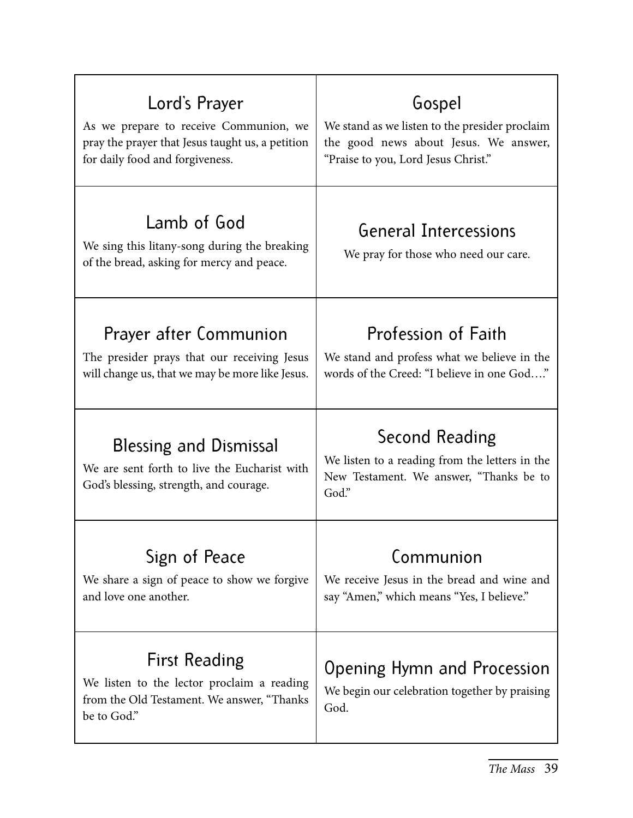| Lord's Prayer                                                                                                                    | Gospel                                                                                                               |
|----------------------------------------------------------------------------------------------------------------------------------|----------------------------------------------------------------------------------------------------------------------|
| As we prepare to receive Communion, we                                                                                           | We stand as we listen to the presider proclaim                                                                       |
| pray the prayer that Jesus taught us, a petition                                                                                 | the good news about Jesus. We answer,                                                                                |
| for daily food and forgiveness.                                                                                                  | "Praise to you, Lord Jesus Christ."                                                                                  |
| Lamb of God<br>We sing this litany-song during the breaking<br>of the bread, asking for mercy and peace.                         | <b>General Intercessions</b><br>We pray for those who need our care.                                                 |
| Prayer after Communion                                                                                                           | Profession of Faith                                                                                                  |
| The presider prays that our receiving Jesus                                                                                      | We stand and profess what we believe in the                                                                          |
| will change us, that we may be more like Jesus.                                                                                  | words of the Creed: "I believe in one God"                                                                           |
| <b>Blessing and Dismissal</b><br>We are sent forth to live the Eucharist with<br>God's blessing, strength, and courage.          | Second Reading<br>We listen to a reading from the letters in the<br>New Testament. We answer, "Thanks be to<br>God." |
| Sign of Peace                                                                                                                    | Communion                                                                                                            |
| We share a sign of peace to show we forgive                                                                                      | We receive Jesus in the bread and wine and                                                                           |
| and love one another.                                                                                                            | say "Amen," which means "Yes, I believe."                                                                            |
| <b>First Reading</b><br>We listen to the lector proclaim a reading<br>from the Old Testament. We answer, "Thanks"<br>be to God." | Opening Hymn and Procession<br>We begin our celebration together by praising<br>God.                                 |